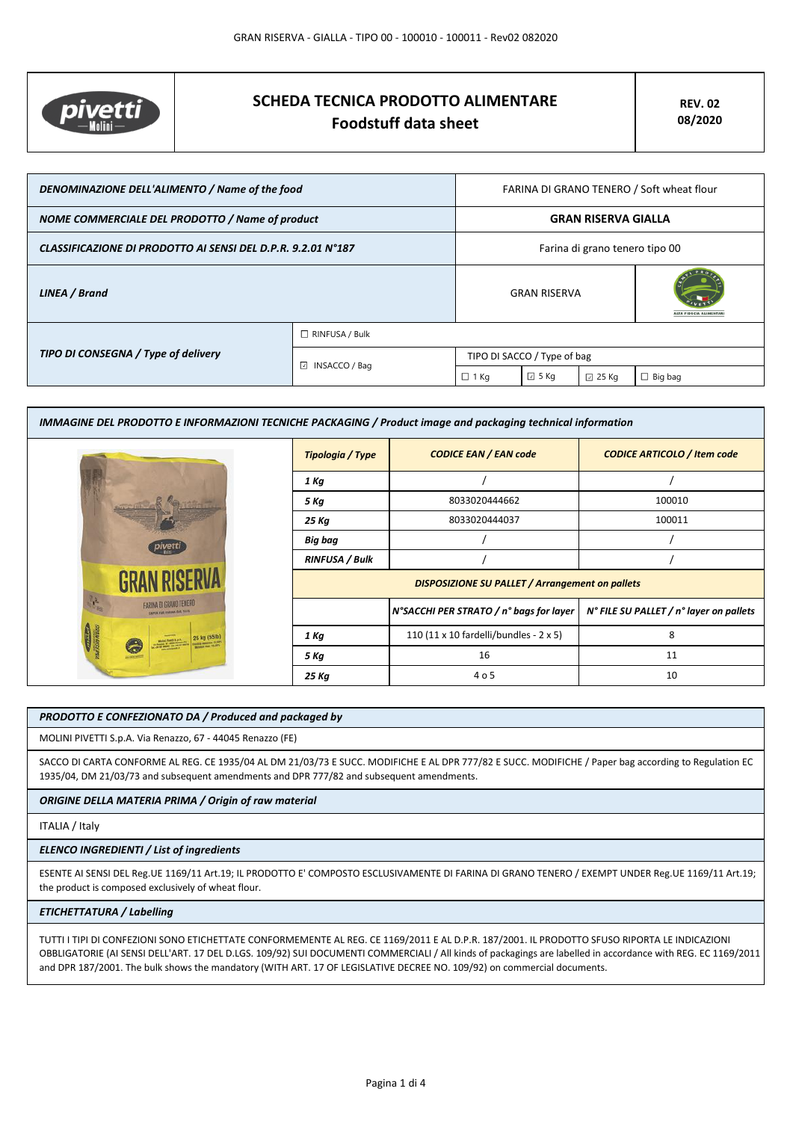

# **SCHEDA TECNICA PRODOTTO ALIMENTARE Foodstuff data sheet**

| DENOMINAZIONE DELL'ALIMENTO / Name of the food               |                       | FARINA DI GRANO TENERO / Soft wheat flour |                |                 |                |
|--------------------------------------------------------------|-----------------------|-------------------------------------------|----------------|-----------------|----------------|
| NOME COMMERCIALE DEL PRODOTTO / Name of product              |                       | <b>GRAN RISERVA GIALLA</b>                |                |                 |                |
| CLASSIFICAZIONE DI PRODOTTO AI SENSI DEL D.P.R. 9.2.01 N°187 |                       | Farina di grano tenero tipo 00            |                |                 |                |
| LINEA / Brand                                                |                       | <b>GRAN RISERVA</b>                       |                |                 |                |
|                                                              | $\Box$ RINFUSA / Bulk |                                           |                |                 |                |
| TIPO DI CONSEGNA / Type of delivery                          | ⊡<br>INSACCO / Bag    | TIPO DI SACCO / Type of bag               |                |                 |                |
|                                                              |                       | $\Box$ 1 Kg                               | $\boxdot$ 5 Kg | $\boxdot$ 25 Kg | $\Box$ Big bag |

| IMMAGINE DEL PRODOTTO E INFORMAZIONI TECNICHE PACKAGING / Product image and packaging technical information |                       |                                                        |                                         |  |  |
|-------------------------------------------------------------------------------------------------------------|-----------------------|--------------------------------------------------------|-----------------------------------------|--|--|
|                                                                                                             | Tipologia / Type      | <b>CODICE EAN / EAN code</b>                           | <b>CODICE ARTICOLO / Item code</b>      |  |  |
|                                                                                                             | 1 Kg                  |                                                        |                                         |  |  |
|                                                                                                             | 5 Kg                  | 8033020444662                                          | 100010                                  |  |  |
|                                                                                                             | 25 Kg                 | 8033020444037                                          | 100011                                  |  |  |
|                                                                                                             | Big bag               |                                                        |                                         |  |  |
|                                                                                                             | <b>RINFUSA / Bulk</b> |                                                        |                                         |  |  |
|                                                                                                             |                       | <b>DISPOSIZIONE SU PALLET / Arrangement on pallets</b> |                                         |  |  |
| <b>FARINA DI GRANO TENERO</b>                                                                               |                       | N°SACCHI PER STRATO / n° bags for layer                | N° FILE SU PALLET / n° layer on pallets |  |  |
|                                                                                                             | 1 Kg                  | 110 (11 x 10 fardelli/bundles - 2 x 5)                 | 8                                       |  |  |
|                                                                                                             | 5 Kg                  | 16                                                     | 11                                      |  |  |
|                                                                                                             | 25 Kg                 | 4 o 5                                                  | 10                                      |  |  |

### *PRODOTTO E CONFEZIONATO DA / Produced and packaged by*

MOLINI PIVETTI S.p.A. Via Renazzo, 67 - 44045 Renazzo (FE)

SACCO DI CARTA CONFORME AL REG. CE 1935/04 AL DM 21/03/73 E SUCC. MODIFICHE E AL DPR 777/82 E SUCC. MODIFICHE / Paper bag according to Regulation EC 1935/04, DM 21/03/73 and subsequent amendments and DPR 777/82 and subsequent amendments.

*ORIGINE DELLA MATERIA PRIMA / Origin of raw material*

# ITALIA / Italy

# *ELENCO INGREDIENTI / List of ingredients*

ESENTE AI SENSI DEL Reg.UE 1169/11 Art.19; IL PRODOTTO E' COMPOSTO ESCLUSIVAMENTE DI FARINA DI GRANO TENERO / EXEMPT UNDER Reg.UE 1169/11 Art.19; the product is composed exclusively of wheat flour.

## *ETICHETTATURA / Labelling*

TUTTI I TIPI DI CONFEZIONI SONO ETICHETTATE CONFORMEMENTE AL REG. CE 1169/2011 E AL D.P.R. 187/2001. IL PRODOTTO SFUSO RIPORTA LE INDICAZIONI OBBLIGATORIE (AI SENSI DELL'ART. 17 DEL D.LGS. 109/92) SUI DOCUMENTI COMMERCIALI / All kinds of packagings are labelled in accordance with REG. EC 1169/2011 and DPR 187/2001. The bulk shows the mandatory (WITH ART. 17 OF LEGISLATIVE DECREE NO. 109/92) on commercial documents.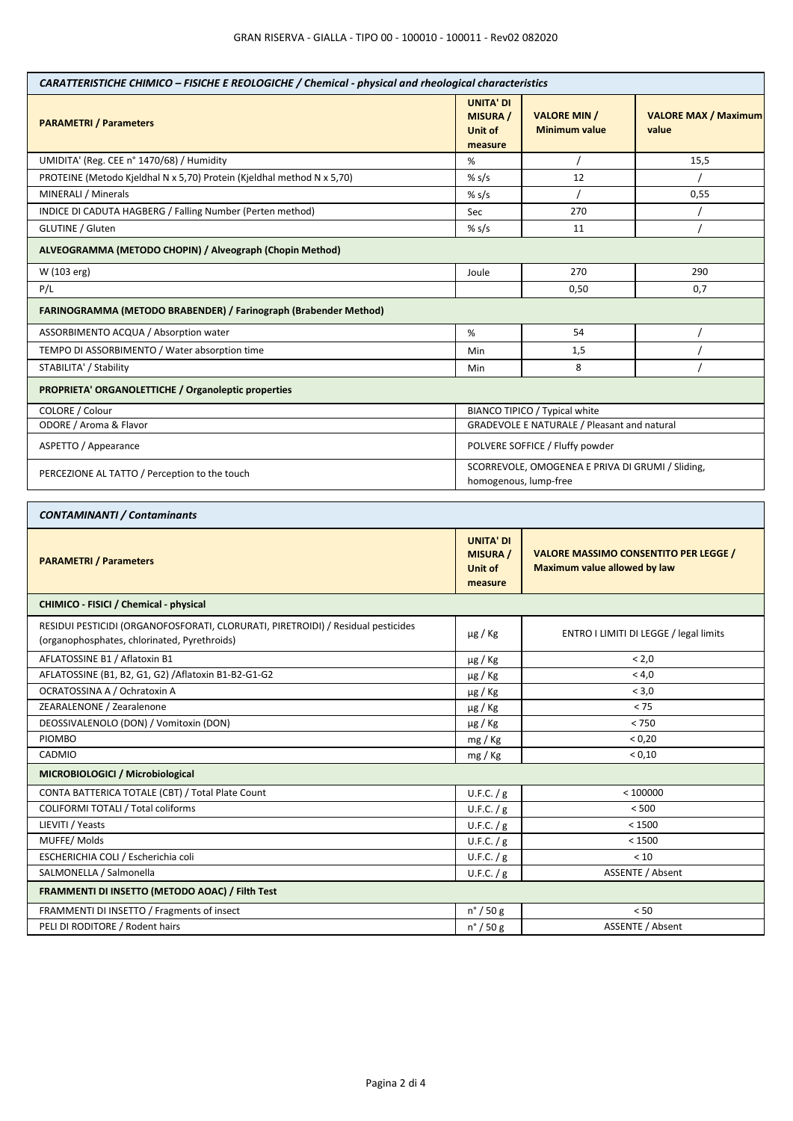| CARATTERISTICHE CHIMICO - FISICHE E REOLOGICHE / Chemical - physical and rheological characteristics                             |                                                           |                                                                                     |                                      |  |
|----------------------------------------------------------------------------------------------------------------------------------|-----------------------------------------------------------|-------------------------------------------------------------------------------------|--------------------------------------|--|
| <b>PARAMETRI / Parameters</b>                                                                                                    | <b>UNITA' DI</b><br><b>MISURA</b> /<br>Unit of<br>measure | <b>VALORE MIN /</b><br><b>Minimum value</b>                                         | <b>VALORE MAX / Maximum</b><br>value |  |
| UMIDITA' (Reg. CEE n° 1470/68) / Humidity                                                                                        | %                                                         |                                                                                     | 15,5                                 |  |
| PROTEINE (Metodo Kjeldhal N x 5,70) Protein (Kjeldhal method N x 5,70)                                                           | % $s/s$                                                   | 12                                                                                  |                                      |  |
| MINERALI / Minerals                                                                                                              | % $s/s$                                                   |                                                                                     | 0,55                                 |  |
| INDICE DI CADUTA HAGBERG / Falling Number (Perten method)                                                                        | Sec                                                       | 270                                                                                 |                                      |  |
| GLUTINE / Gluten                                                                                                                 | % $s/s$                                                   | 11                                                                                  |                                      |  |
| ALVEOGRAMMA (METODO CHOPIN) / Alveograph (Chopin Method)                                                                         |                                                           |                                                                                     |                                      |  |
| W (103 erg)                                                                                                                      | Joule                                                     | 270                                                                                 | 290                                  |  |
| P/L                                                                                                                              |                                                           | 0,50<br>0,7                                                                         |                                      |  |
| FARINOGRAMMA (METODO BRABENDER) / Farinograph (Brabender Method)                                                                 |                                                           |                                                                                     |                                      |  |
| ASSORBIMENTO ACQUA / Absorption water                                                                                            | $\%$                                                      | 54                                                                                  |                                      |  |
| TEMPO DI ASSORBIMENTO / Water absorption time                                                                                    | Min                                                       | 1,5                                                                                 |                                      |  |
| STABILITA' / Stability                                                                                                           | Min                                                       | 8                                                                                   |                                      |  |
| PROPRIETA' ORGANOLETTICHE / Organoleptic properties                                                                              |                                                           |                                                                                     |                                      |  |
| COLORE / Colour                                                                                                                  |                                                           | BIANCO TIPICO / Typical white                                                       |                                      |  |
| ODORE / Aroma & Flavor                                                                                                           |                                                           | GRADEVOLE E NATURALE / Pleasant and natural                                         |                                      |  |
| ASPETTO / Appearance                                                                                                             |                                                           | POLVERE SOFFICE / Fluffy powder                                                     |                                      |  |
| PERCEZIONE AL TATTO / Perception to the touch                                                                                    |                                                           | SCORREVOLE, OMOGENEA E PRIVA DI GRUMI / Sliding,<br>homogenous, lump-free           |                                      |  |
| <b>CONTAMINANTI / Contaminants</b>                                                                                               |                                                           |                                                                                     |                                      |  |
| <b>PARAMETRI / Parameters</b>                                                                                                    | <b>UNITA' DI</b><br><b>MISURA</b> /<br>Unit of<br>measure | <b>VALORE MASSIMO CONSENTITO PER LEGGE /</b><br><b>Maximum value allowed by law</b> |                                      |  |
| CHIMICO - FISICI / Chemical - physical                                                                                           |                                                           |                                                                                     |                                      |  |
| RESIDUI PESTICIDI (ORGANOFOSFORATI, CLORURATI, PIRETROIDI) / Residual pesticides<br>(organophosphates, chlorinated, Pyrethroids) | $\mu$ g / Kg                                              | ENTRO I LIMITI DI LEGGE / legal limits                                              |                                      |  |
| AFLATOSSINE B1 / Aflatoxin B1                                                                                                    | $\mu$ g / Kg                                              | < 2,0                                                                               |                                      |  |
| AFLATOSSINE (B1, B2, G1, G2) / Aflatoxin B1-B2-G1-G2                                                                             | µg / Kg                                                   | < 4,0                                                                               |                                      |  |
| OCRATOSSINA A / Ochratoxin A                                                                                                     | $\mu$ g / Kg                                              | < 3,0                                                                               |                                      |  |
| ZEARALENONE / Zearalenone                                                                                                        | $\mu$ g / Kg                                              | < 75                                                                                |                                      |  |
| DEOSSIVALENOLO (DON) / Vomitoxin (DON)                                                                                           | µg / Kg                                                   | < 750                                                                               |                                      |  |
| PIOMBO                                                                                                                           | mg / Kg                                                   | < 0,20                                                                              |                                      |  |
| CADMIO                                                                                                                           | mg / Kg                                                   | < 0,10                                                                              |                                      |  |
| MICROBIOLOGICI / Microbiological                                                                                                 |                                                           |                                                                                     |                                      |  |
| CONTA BATTERICA TOTALE (CBT) / Total Plate Count                                                                                 | U.F.C. $/g$                                               | < 100000                                                                            |                                      |  |
| COLIFORMI TOTALI / Total coliforms                                                                                               | U.F.C. $/g$                                               | < 500                                                                               |                                      |  |
| LIEVITI / Yeasts                                                                                                                 | U.F.C. $/g$                                               | < 1500                                                                              |                                      |  |
| MUFFE/Molds                                                                                                                      | U.F.C. $/g$                                               | < 1500                                                                              |                                      |  |
| ESCHERICHIA COLI / Escherichia coli                                                                                              | U.F.C. / g                                                | < 10                                                                                |                                      |  |
| SALMONELLA / Salmonella                                                                                                          | U.F.C. $/g$                                               | ASSENTE / Absent                                                                    |                                      |  |
| FRAMMENTI DI INSETTO (METODO AOAC) / Filth Test                                                                                  |                                                           |                                                                                     |                                      |  |
| FRAMMENTI DI INSETTO / Fragments of insect                                                                                       | $n^{\circ}$ / 50 g                                        | < 50                                                                                |                                      |  |
| PELI DI RODITORE / Rodent hairs                                                                                                  | $n^{\circ}$ / 50 g                                        | ASSENTE / Absent                                                                    |                                      |  |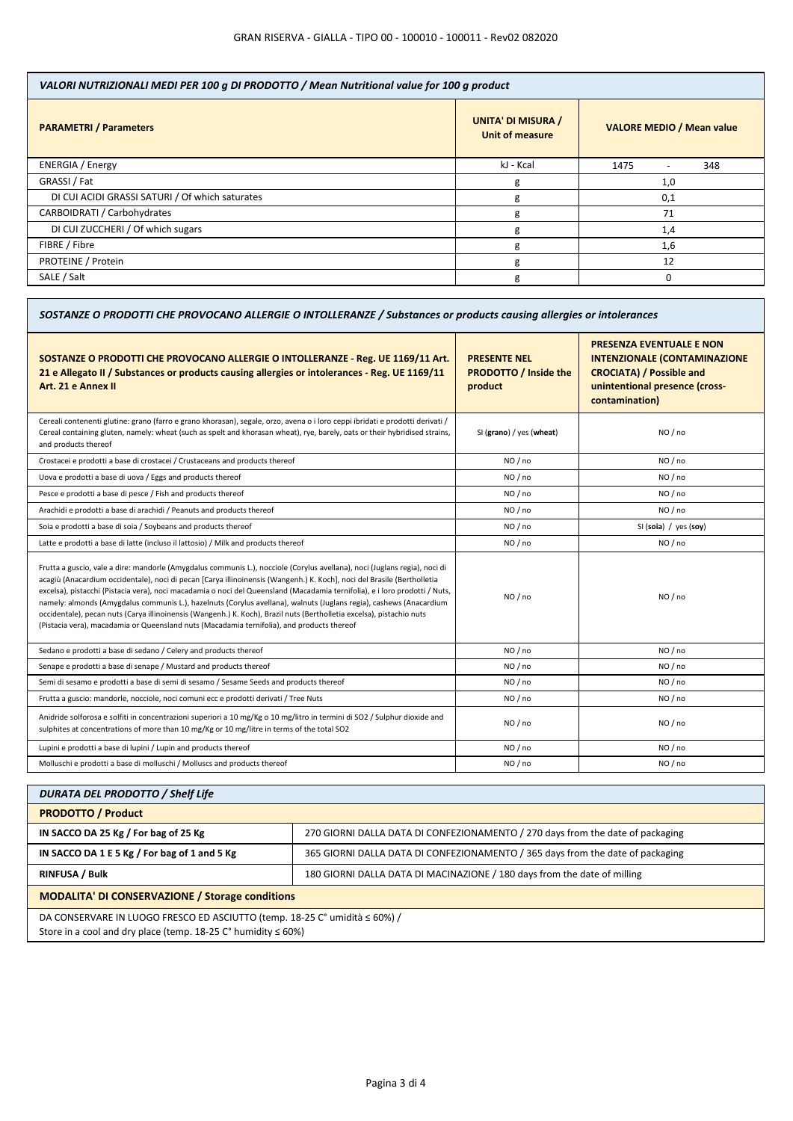| VALORI NUTRIZIONALI MEDI PER 100 g DI PRODOTTO / Mean Nutritional value for 100 g product |                                                     |                                         |  |
|-------------------------------------------------------------------------------------------|-----------------------------------------------------|-----------------------------------------|--|
| <b>PARAMETRI / Parameters</b>                                                             | <b>UNITA' DI MISURA /</b><br><b>Unit of measure</b> | <b>VALORE MEDIO / Mean value</b>        |  |
| <b>ENERGIA / Energy</b>                                                                   | kJ - Kcal                                           | 1475<br>348<br>$\overline{\phantom{a}}$ |  |
| GRASSI / Fat                                                                              | g                                                   | 1,0                                     |  |
| DI CUI ACIDI GRASSI SATURI / Of which saturates                                           | g                                                   | 0,1                                     |  |
| CARBOIDRATI / Carbohydrates                                                               | g                                                   | 71                                      |  |
| DI CUI ZUCCHERI / Of which sugars                                                         | g                                                   | 1,4                                     |  |
| FIBRE / Fibre                                                                             | g                                                   | 1,6                                     |  |
| PROTEINE / Protein                                                                        | g                                                   | 12                                      |  |
| SALE / Salt                                                                               | g                                                   | $\Omega$                                |  |

| SOSTANZE O PRODOTTI CHE PROVOCANO ALLERGIE O INTOLLERANZE / Substances or products causing allergies or intolerances                                                                                                                                                                                                                                                                                                                                                                                                                                                                                                                                                                                                               |                                                                |                                                                                                                                                               |  |
|------------------------------------------------------------------------------------------------------------------------------------------------------------------------------------------------------------------------------------------------------------------------------------------------------------------------------------------------------------------------------------------------------------------------------------------------------------------------------------------------------------------------------------------------------------------------------------------------------------------------------------------------------------------------------------------------------------------------------------|----------------------------------------------------------------|---------------------------------------------------------------------------------------------------------------------------------------------------------------|--|
| SOSTANZE O PRODOTTI CHE PROVOCANO ALLERGIE O INTOLLERANZE - Reg. UE 1169/11 Art.<br>21 e Allegato II / Substances or products causing allergies or intolerances - Reg. UE 1169/11<br>Art. 21 e Annex II                                                                                                                                                                                                                                                                                                                                                                                                                                                                                                                            | <b>PRESENTE NEL</b><br><b>PRODOTTO / Inside the</b><br>product | <b>PRESENZA EVENTUALE E NON</b><br><b>INTENZIONALE (CONTAMINAZIONE</b><br><b>CROCIATA) / Possible and</b><br>unintentional presence (cross-<br>contamination) |  |
| Cereali contenenti glutine: grano (farro e grano khorasan), segale, orzo, avena o i loro ceppi ibridati e prodotti derivati /<br>Cereal containing gluten, namely: wheat (such as spelt and khorasan wheat), rye, barely, oats or their hybridised strains,<br>and products thereof                                                                                                                                                                                                                                                                                                                                                                                                                                                | SI (grano) / yes (wheat)                                       | NO / no                                                                                                                                                       |  |
| Crostacei e prodotti a base di crostacei / Crustaceans and products thereof                                                                                                                                                                                                                                                                                                                                                                                                                                                                                                                                                                                                                                                        | NO / no                                                        | NO / no                                                                                                                                                       |  |
| Uova e prodotti a base di uova / Eggs and products thereof                                                                                                                                                                                                                                                                                                                                                                                                                                                                                                                                                                                                                                                                         | NO / no                                                        | NO/no                                                                                                                                                         |  |
| Pesce e prodotti a base di pesce / Fish and products thereof                                                                                                                                                                                                                                                                                                                                                                                                                                                                                                                                                                                                                                                                       | NO / no                                                        | NO / no                                                                                                                                                       |  |
| Arachidi e prodotti a base di arachidi / Peanuts and products thereof                                                                                                                                                                                                                                                                                                                                                                                                                                                                                                                                                                                                                                                              | NO / no                                                        | NO / no                                                                                                                                                       |  |
| Soia e prodotti a base di soia / Soybeans and products thereof                                                                                                                                                                                                                                                                                                                                                                                                                                                                                                                                                                                                                                                                     | NO / no                                                        | SI (soia) / yes (soy)                                                                                                                                         |  |
| Latte e prodotti a base di latte (incluso il lattosio) / Milk and products thereof                                                                                                                                                                                                                                                                                                                                                                                                                                                                                                                                                                                                                                                 | NO / no                                                        | NO / no                                                                                                                                                       |  |
| Frutta a guscio, vale a dire: mandorle (Amygdalus communis L.), nocciole (Corylus avellana), noci (Juglans regia), noci di<br>acagiù (Anacardium occidentale), noci di pecan [Carya illinoinensis (Wangenh.) K. Koch], noci del Brasile (Bertholletia<br>excelsa), pistacchi (Pistacia vera), noci macadamia o noci del Queensland (Macadamia ternifolia), e i loro prodotti / Nuts,<br>namely: almonds (Amygdalus communis L.), hazelnuts (Corylus avellana), walnuts (Juglans regia), cashews (Anacardium<br>occidentale), pecan nuts (Carya illinoinensis (Wangenh.) K. Koch), Brazil nuts (Bertholletia excelsa), pistachio nuts<br>(Pistacia vera), macadamia or Queensland nuts (Macadamia ternifolia), and products thereof | NO/no                                                          | NO/no                                                                                                                                                         |  |
| Sedano e prodotti a base di sedano / Celery and products thereof                                                                                                                                                                                                                                                                                                                                                                                                                                                                                                                                                                                                                                                                   | NO / no                                                        | NO / no                                                                                                                                                       |  |
| Senape e prodotti a base di senape / Mustard and products thereof                                                                                                                                                                                                                                                                                                                                                                                                                                                                                                                                                                                                                                                                  | NO / no                                                        | NO / no                                                                                                                                                       |  |
| Semi di sesamo e prodotti a base di semi di sesamo / Sesame Seeds and products thereof                                                                                                                                                                                                                                                                                                                                                                                                                                                                                                                                                                                                                                             | NO / no                                                        | NO / no                                                                                                                                                       |  |
| Frutta a guscio: mandorle, nocciole, noci comuni ecc e prodotti derivati / Tree Nuts                                                                                                                                                                                                                                                                                                                                                                                                                                                                                                                                                                                                                                               | NO / no                                                        | NO / no                                                                                                                                                       |  |
| Anidride solforosa e solfiti in concentrazioni superiori a 10 mg/Kg o 10 mg/litro in termini di SO2 / Sulphur dioxide and<br>sulphites at concentrations of more than 10 mg/Kg or 10 mg/litre in terms of the total SO2                                                                                                                                                                                                                                                                                                                                                                                                                                                                                                            | NO / no                                                        | NO / no                                                                                                                                                       |  |
| Lupini e prodotti a base di lupini / Lupin and products thereof                                                                                                                                                                                                                                                                                                                                                                                                                                                                                                                                                                                                                                                                    | NO / no                                                        | NO / no                                                                                                                                                       |  |
| Molluschi e prodotti a base di molluschi / Molluscs and products thereof                                                                                                                                                                                                                                                                                                                                                                                                                                                                                                                                                                                                                                                           | NO / no                                                        | NO/no                                                                                                                                                         |  |

| <b>DURATA DEL PRODOTTO / Shelf Life</b>                                                                                                              |                                                                                |  |
|------------------------------------------------------------------------------------------------------------------------------------------------------|--------------------------------------------------------------------------------|--|
| <b>PRODOTTO / Product</b>                                                                                                                            |                                                                                |  |
| IN SACCO DA 25 Kg / For bag of 25 Kg                                                                                                                 | 270 GIORNI DALLA DATA DI CONFEZIONAMENTO / 270 days from the date of packaging |  |
| IN SACCO DA 1 E 5 Kg / For bag of 1 and 5 Kg                                                                                                         | 365 GIORNI DALLA DATA DI CONFEZIONAMENTO / 365 days from the date of packaging |  |
| <b>RINFUSA / Bulk</b>                                                                                                                                | 180 GIORNI DALLA DATA DI MACINAZIONE / 180 days from the date of milling       |  |
| <b>MODALITA' DI CONSERVAZIONE / Storage conditions</b>                                                                                               |                                                                                |  |
| DA CONSERVARE IN LUOGO FRESCO ED ASCIUTTO (temp. 18-25 C° umidità ≤ 60%) /<br>Store in a cool and dry place (temp. $18-25$ C° humidity $\leq 60\%$ ) |                                                                                |  |